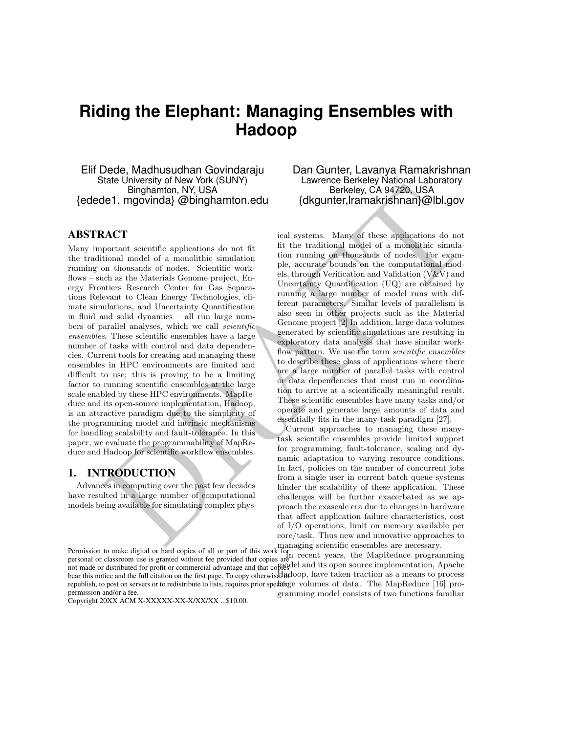# **Riding the Elephant: Managing Ensembles with Hadoop**

Elif Dede, Madhusudhan Govindaraju State University of New York (SUNY) Binghamton, NY, USA {edede1, mgovinda} @binghamton.edu

## ABSTRACT

Many important scientific applications do not fit the traditional model of a monolithic simulation running on thousands of nodes. Scientific workflows – such as the Materials Genome project, Energy Frontiers Research Center for Gas Separations Relevant to Clean Energy Technologies, climate simulations, and Uncertainty Quantification in fluid and solid dynamics – all run large numbers of parallel analyses, which we call scientific ensembles. These scientific ensembles have a large number of tasks with control and data dependencies. Current tools for creating and managing these ensembles in HPC environments are limited and difficult to use; this is proving to be a limiting factor to running scientific ensembles at the large scale enabled by these HPC environments. MapReduce and its open-source implementation, Hadoop, is an attractive paradigm due to the simplicity of the programming model and intrinsic mechanisms for handling scalability and fault-tolerance. In this paper, we evaluate the programmability of MapReduce and Hadoop for scientific workflow ensembles.

# 1. INTRODUCTION

Advances in computing over the past few decades have resulted in a large number of computational models being available for simulating complex physDan Gunter, Lavanya Ramakrishnan Lawrence Berkeley National Laboratory Berkeley, CA 94720, USA {dkgunter,lramakrishnan}@lbl.gov

Earlies and solid splittering and managing these<br>
is the small of the many-tek parameterism ( $\Delta$  and  $\Delta$ )<br>
Let  $\Delta$  and  $\Delta$  and  $\Delta$  and  $\Delta$  and  $\Delta$  and  $\Delta$  and  $\Delta$  and  $\Delta$  and  $\Delta$  and  $\Delta$  and  $\Delta$  and  $\Delta$  and ical systems. Many of these applications do not fit the traditional model of a monolithic simulation running on thousands of nodes. For example, accurate bounds on the computational models, through Verification and Validation (V&V) and Uncertainty Quantification (UQ) are obtained by running a large number of model runs with different parameters. Similar levels of parallelism is also seen in other projects such as the Material Genome project [2] In addition, large data volumes generated by scientific simulations are resulting in exploratory data analysis that have similar workflow pattern. We use the term *scientific ensembles* to describe these class of applications where there are a large number of parallel tasks with control or data dependencies that must run in coordination to arrive at a scientifically meaningful result. These scientific ensembles have many tasks and/or operate and generate large amounts of data and essentially fits in the many-task paradigm [27].

Current approaches to managing these manytask scientific ensembles provide limited support for programming, fault-tolerance, scaling and dynamic adaptation to varying resource conditions. In fact, policies on the number of concurrent jobs from a single user in current batch queue systems hinder the scalability of these application. These challenges will be further exacerbated as we approach the exascale era due to changes in hardware that affect application failure characteristics, cost of I/O operations, limit on memory available per core/task. Thus new and innovative approaches to managing scientific ensembles are necessary.

Copyright 20XX ACM X-XXXXX-XX-X/XX/XX ...\$10.00.

Permission to make digital or hard copies of all or part of this work for personal or classroom use is granted without fee provided that copies are not made or distributed for profit or commercial advantage and that copies and its open source implementation, Apache bear this notice and the full citation on the first page. To copy otherwise Hadoop, have taken traction as a means to process republish, to post on servers or to redistribute to lists, requires prior specifice volumes of data. The MapReduce [16] propermission and/or a fee. In recent years, the MapReduce programming gramming model consists of two functions familiar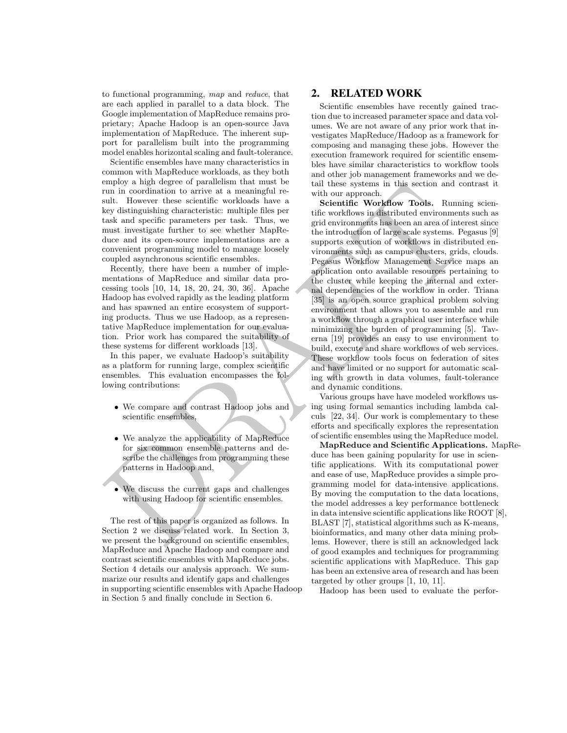to functional programming, map and reduce, that are each applied in parallel to a data block. The Google implementation of MapReduce remains proprietary; Apache Hadoop is an open-source Java implementation of MapReduce. The inherent support for parallelism built into the programming model enables horizontal scaling and fault-tolerance.

Scientific ensembles have many characteristics in common with MapReduce workloads, as they both employ a high degree of parallelism that must be run in coordination to arrive at a meaningful result. However these scientific workloads have a key distinguishing characteristic: multiple files per task and specific parameters per task. Thus, we must investigate further to see whether MapReduce and its open-source implementations are a convenient programming model to manage loosely coupled asynchronous scientific ensembles.

Recently, there have been a number of implementations of MapReduce and similar data processing tools [10, 14, 18, 20, 24, 30, 36]. Apache Hadoop has evolved rapidly as the leading platform and has spawned an entire ecosystem of supporting products. Thus we use Hadoop, as a representative MapReduce implementation for our evaluation. Prior work has compared the suitability of these systems for different workloads [13].

In this paper, we evaluate Hadoop's suitability as a platform for running large, complex scientific ensembles. This evaluation encompasses the following contributions:

- We compare and contrast Hadoop jobs and scientific ensembles,
- We analyze the applicability of MapReduce for six common ensemble patterns and describe the challenges from programming these patterns in Hadoop and,
- We discuss the current gaps and challenges with using Hadoop for scientific ensembles.

The rest of this paper is organized as follows. In Section 2 we discuss related work. In Section 3, we present the background on scientific ensembles, MapReduce and Apache Hadoop and compare and contrast scientific ensembles with MapReduce jobs. Section 4 details our analysis approach. We summarize our results and identify gaps and challenges in supporting scientific ensembles with Apache Hadoop in Section 5 and finally conclude in Section 6.

## 2. RELATED WORK

Scientific ensembles have recently gained traction due to increased parameter space and data volumes. We are not aware of any prior work that investigates MapReduce/Hadoop as a framework for composing and managing these jobs. However the execution framework required for scientific ensembles have similar characteristics to workflow tools and other job management frameworks and we detail these systems in this section and contrast it with our approach.

every a major product in the section in the section and contrast in the section and contrast in the section of contrast of the control of the section of the section and contrast in the section of the section of the sectio Scientific Workflow Tools. Running scientific workflows in distributed environments such as grid environments has been an area of interest since the introduction of large scale systems. Pegasus [9] supports execution of workflows in distributed environments such as campus clusters, grids, clouds. Pegasus Workflow Management Service maps an application onto available resources pertaining to the cluster while keeping the internal and external dependencies of the workflow in order. Triana [35] is an open source graphical problem solving environment that allows you to assemble and run a workflow through a graphical user interface while minimizing the burden of programming [5]. Taverna [19] provides an easy to use environment to build, execute and share workflows of web services. These workflow tools focus on federation of sites and have limited or no support for automatic scaling with growth in data volumes, fault-tolerance and dynamic conditions.

Various groups have have modeled workflows using using formal semantics including lambda calculs [22, 34]. Our work is complementary to these efforts and specifically explores the representation of scientific ensembles using the MapReduce model.

MapReduce and Scientific Applications. MapReduce has been gaining popularity for use in scientific applications. With its computational power and ease of use, MapReduce provides a simple programming model for data-intensive applications. By moving the computation to the data locations, the model addresses a key performance bottleneck in data intensive scientific applications like ROOT [8], BLAST [7], statistical algorithms such as K-means, bioinformatics, and many other data mining problems. However, there is still an acknowledged lack of good examples and techniques for programming scientific applications with MapReduce. This gap has been an extensive area of research and has been targeted by other groups [1, 10, 11].

Hadoop has been used to evaluate the perfor-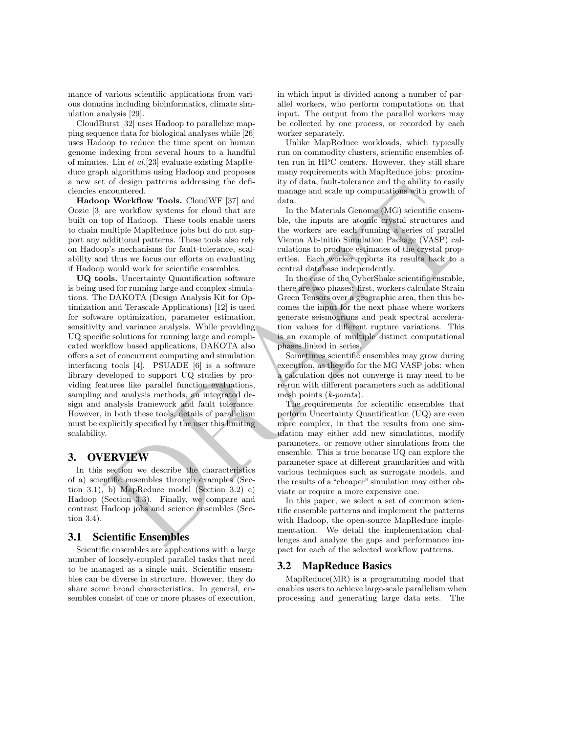mance of various scientific applications from various domains including bioinformatics, climate simulation analysis [29].

CloudBurst [32] uses Hadoop to parallelize mapping sequence data for biological analyses while [26] uses Hadoop to reduce the time spent on human genome indexing from several hours to a handful of minutes. Lin et al.[23] evaluate existing MapReduce graph algorithms using Hadoop and proposes a new set of design patterns addressing the deficiencies encountered.

Hadoop Workflow Tools. CloudWF [37] and Oozie [3] are workflow systems for cloud that are built on top of Hadoop. These tools enable users to chain multiple MapReduce jobs but do not support any additional patterns. These tools also rely on Hadoop's mechanisms for fault-tolerance, scalability and thus we focus our efforts on evaluating if Hadoop would work for scientific ensembles.

For using parameters assessments on the same of the particular contents are the particular particle contents are contents and the particle contents of the same of the same of the same of the same of the same of the same o UQ tools. Uncertainty Quantification software is being used for running large and complex simulations. The DAKOTA (Design Analysis Kit for Optimization and Terascale Applications) [12] is used for software optimization, parameter estimation, sensitivity and variance analysis. While providing UQ specific solutions for running large and complicated workflow based applications, DAKOTA also offers a set of concurrent computing and simulation interfacing tools [4]. PSUADE  $\overline{6}$ ] is a software library developed to support UQ studies by providing features like parallel function evaluations, sampling and analysis methods, an integrated design and analysis framework and fault tolerance. However, in both these tools, details of parallelism must be explicitly specified by the user this limiting scalability.

#### 3. OVERVIEW

In this section we describe the characteristics of a) scientific ensembles through examples (Section 3.1), b) MapReduce model (Section 3.2) c) Hadoop (Section 3.3). Finally, we compare and contrast Hadoop jobs and science ensembles (Section 3.4).

#### 3.1 Scientific Ensembles

Scientific ensembles are applications with a large number of loosely-coupled parallel tasks that need to be managed as a single unit. Scientific ensembles can be diverse in structure. However, they do share some broad characteristics. In general, ensembles consist of one or more phases of execution, in which input is divided among a number of parallel workers, who perform computations on that input. The output from the parallel workers may be collected by one process, or recorded by each worker separately.

Unlike MapReduce workloads, which typically run on commodity clusters, scientific ensembles often run in HPC centers. However, they still share many requirements with MapReduce jobs: proximity of data, fault-tolerance and the ability to easily manage and scale up computations with growth of data.

In the Materials Genome (MG) scientific ensemble, the inputs are atomic crystal structures and the workers are each running a series of parallel Vienna Ab-initio Simulation Package (VASP) calculations to produce estimates of the crystal properties. Each worker reports its results back to a central database independently.

In the case of the CyberShake scientific ensmble, there are two phases: first, workers calculate Strain Green Tensors over a geographic area, then this becomes the input for the next phase where workers generate seismograms and peak spectral acceleration values for different rupture variations. This is an example of multiple distinct computational phases linked in series.

Sometimes scientific ensembles may grow during execution, as they do for the MG VASP jobs: when a calculation does not converge it may need to be re-run with different parameters such as additional mesh points  $(k\text{-points}).$ 

The requirements for scientific ensembles that perform Uncertainty Quantification (UQ) are even more complex, in that the results from one simulation may either add new simulations, modify parameters, or remove other simulations from the ensemble. This is true because UQ can explore the parameter space at different granularities and with various techniques such as surrogate models, and the results of a "cheaper" simulation may either obviate or require a more expensive one.

In this paper, we select a set of common scientific ensemble patterns and implement the patterns with Hadoop, the open-source MapReduce implementation. We detail the implementation challenges and analyze the gaps and performance impact for each of the selected workflow patterns.

#### 3.2 MapReduce Basics

MapReduce(MR) is a programming model that enables users to achieve large-scale parallelism when processing and generating large data sets. The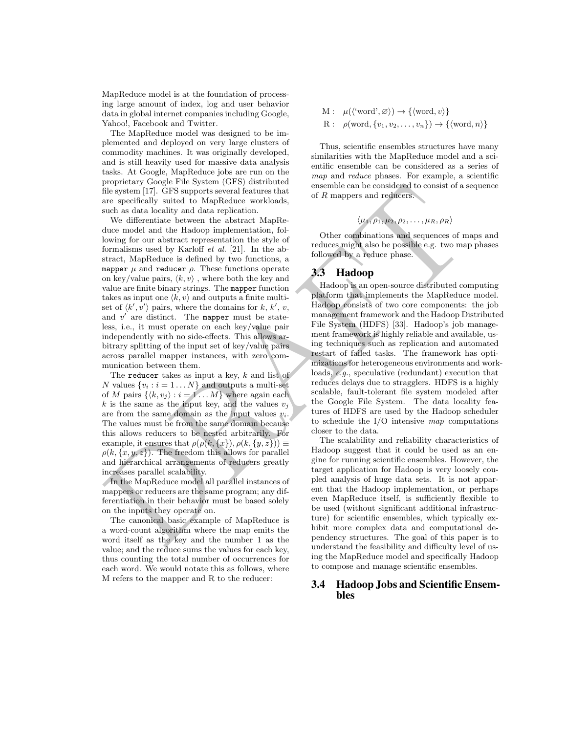MapReduce model is at the foundation of processing large amount of index, log and user behavior data in global internet companies including Google, Yahoo!, Facebook and Twitter.

The MapReduce model was designed to be implemented and deployed on very large clusters of commodity machines. It was originally developed, and is still heavily used for massive data analysis tasks. At Google, MapReduce jobs are run on the proprietary Google File System (GFS) distributed file system [17]. GFS supports several features that are specifically suited to MapReduce workloads, such as data locality and data replication.

For each consist of a sequence of the system (were a system with the consistent of a sequence of a sequence of a sequence of  $\theta$  from position and the data points of  $\theta$ . We differentiate between the abstract MapRe-<br>wit We differentiate between the abstract MapReduce model and the Hadoop implementation, following for our abstract representation the style of formalisms used by Karloff et al. [21]. In the abstract, MapReduce is defined by two functions, a mapper  $\mu$  and reducer  $\rho$ . These functions operate on key/value pairs,  $\langle k, v \rangle$ , where both the key and value are finite binary strings. The mapper function takes as input one  $\langle k, v \rangle$  and outputs a finite multiset of  $\langle k', v' \rangle$  pairs, where the domains for k, k', v, and  $v'$  are distinct. The mapper must be stateless, i.e., it must operate on each key/value pair independently with no side-effects. This allows arbitrary splitting of the input set of key/value pairs across parallel mapper instances, with zero communication between them.

The reducer takes as input a key,  $k$  and list of N values  $\{v_i : i = 1...N\}$  and outputs a multi-set of M pairs  $\{\langle k, v_i \rangle : i = 1 \dots M\}$  where again each k is the same as the input key, and the values  $v_j$ are from the same domain as the input values  $v_i$ . The values must be from the same domain because this allows reducers to be nested arbitrarily. For example, it ensures that  $\rho(\rho(k, \{x\}), \rho(k, \{y, z\})) \equiv$  $\rho(k, \{x, y, z\})$ . The freedom this allows for parallel and hierarchical arrangements of reducers greatly increases parallel scalability.

In the MapReduce model all parallel instances of mappers or reducers are the same program; any differentiation in their behavior must be based solely on the inputs they operate on.

The canonical basic example of MapReduce is a word-count algorithm where the map emits the word itself as the key and the number 1 as the value; and the reduce sums the values for each key, thus counting the total number of occurrences for each word. We would notate this as follows, where M refers to the mapper and R to the reducer:

M: 
$$
\mu(\langle \text{word'}, \varnothing \rangle) \to \{\langle \text{word}, v \rangle\}
$$
  
R:  $\rho(\text{word}, \{v_1, v_2, \dots, v_n\}) \to \{\langle \text{word}, n \rangle\}$ 

Thus, scientific ensembles structures have many similarities with the MapReduce model and a scientific ensemble can be considered as a series of map and *reduce* phases. For example, a scientific ensemble can be considered to consist of a sequence of R mappers and reducers.

#### $\langle \mu_1, \rho_1, \mu_2, \rho_2, \ldots, \mu_R, \rho_R \rangle$

Other combinations and sequences of maps and reduces might also be possible e.g. two map phases followed by a reduce phase.

## 3.3 Hadoop

Hadoop is an open-source distributed computing platform that implements the MapReduce model. Hadoop consists of two core components: the job management framework and the Hadoop Distributed File System (HDFS) [33]. Hadoop's job management framework is highly reliable and available, using techniques such as replication and automated restart of failed tasks. The framework has optimizations for heterogeneous environments and workloads, e.g., speculative (redundant) execution that reduces delays due to stragglers. HDFS is a highly scalable, fault-tolerant file system modeled after the Google File System. The data locality features of HDFS are used by the Hadoop scheduler to schedule the  $I/O$  intensive  $map$  computations closer to the data.

The scalability and reliability characteristics of Hadoop suggest that it could be used as an engine for running scientific ensembles. However, the target application for Hadoop is very loosely coupled analysis of huge data sets. It is not apparent that the Hadoop implementation, or perhaps even MapReduce itself, is sufficiently flexible to be used (without significant additional infrastructure) for scientific ensembles, which typically exhibit more complex data and computational dependency structures. The goal of this paper is to understand the feasibility and difficulty level of using the MapReduce model and specifically Hadoop to compose and manage scientific ensembles.

## 3.4 Hadoop Jobs and Scientific Ensembles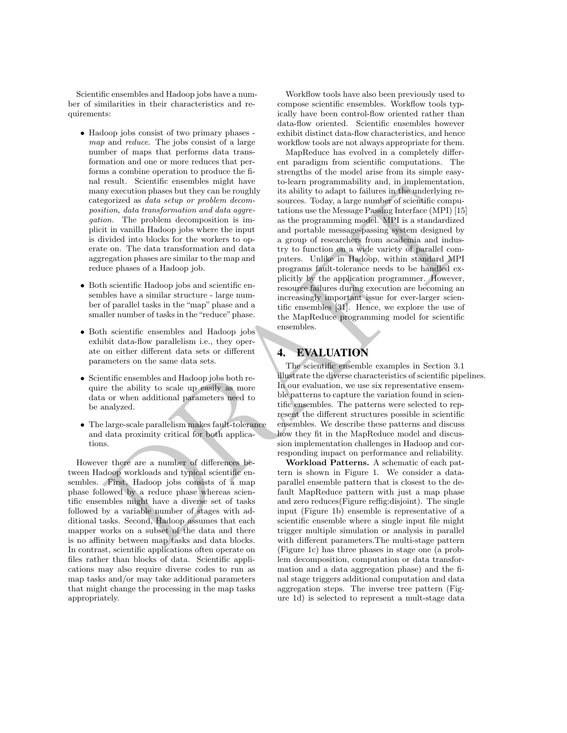Scientific ensembles and Hadoop jobs have a number of similarities in their characteristics and requirements:

- Hadoop jobs consist of two primary phases map and reduce. The jobs consist of a large number of maps that performs data transformation and one or more reduces that performs a combine operation to produce the final result. Scientific ensembles might have many execution phases but they can be roughly categorized as data setup or problem decomposition, data transformation and data aggregation. The problem decomposition is implicit in vanilla Hadoop jobs where the input is divided into blocks for the workers to operate on. The data transformation and data aggregation phases are similar to the map and reduce phases of a Hadoop job.
- Both scientific Hadoop jobs and scientific ensembles have a similar structure - large number of parallel tasks in the "map" phase and a smaller number of tasks in the "reduce" phase.
- Both scientific ensembles and Hadoop jobs exhibit data-flow parallelism i.e., they operate on either different data sets or different parameters on the same data sets.
- Scientific ensembles and Hadoop jobs both require the ability to scale up easily as more data or when additional parameters need to be analyzed.
- The large-scale parallelism makes fault-tolerance and data proximity critical for both applications.

However there are a number of differences between Hadoop workloads and typical scientific ensembles. First, Hadoop jobs consists of a map phase followed by a reduce phase whereas scientific ensembles might have a diverse set of tasks followed by a variable number of stages with additional tasks. Second, Hadoop assumes that each mapper works on a subset of the data and there is no affinity between map tasks and data blocks. In contrast, scientific applications often operate on files rather than blocks of data. Scientific applications may also require diverse codes to run as map tasks and/or may take additional parameters that might change the processing in the map tasks appropriately.

Workflow tools have also been previously used to compose scientific ensembles. Workflow tools typically have been control-flow oriented rather than data-flow oriented. Scientific ensembles however exhibit distinct data-flow characteristics, and hence workflow tools are not always appropriate for them.

reading the<br>stationary interesting in the same in the specific proposition of the<br>specifical data sering to problem decay<br>into the solution of the specific proposition of data operation of the<br>sign of the specific constra MapReduce has evolved in a completely different paradigm from scientific computations. The strengths of the model arise from its simple easyto-learn programmability and, in implementation, its ability to adapt to failures in the underlying resources. Today, a large number of scientific computations use the Message Passing Interface (MPI) [15] as the programming model. MPI is a standardized and portable message-passing system designed by a group of researchers from academia and industry to function on a wide variety of parallel computers. Unlike in Hadoop, within standard MPI programs fault-tolerance needs to be handled explicitly by the application programmer. However, resource failures during execution are becoming an increasingly important issue for ever-larger scientific ensembles [31]. Hence, we explore the use of the MapReduce programming model for scientific ensembles.

## 4. EVALUATION

The scientific ensemble examples in Section 3.1 illustrate the diverse characteristics of scientific pipelines. In our evaluation, we use six representative ensemble patterns to capture the variation found in scientific ensembles. The patterns were selected to represent the different structures possible in scientific ensembles. We describe these patterns and discuss how they fit in the MapReduce model and discussion implementation challenges in Hadoop and corresponding impact on performance and reliability.

Workload Patterns. A schematic of each pattern is shown in Figure 1. We consider a dataparallel ensemble pattern that is closest to the default MapReduce pattern with just a map phase and zero reduces(Figure reffig:disjoint). The single input (Figure 1b) ensemble is representative of a scientific ensemble where a single input file might trigger multiple simulation or analysis in parallel with different parameters.The multi-stage pattern (Figure 1c) has three phases in stage one (a problem decomposition, computation or data transformation and a data aggregation phase) and the final stage triggers additional computation and data aggregation steps. The inverse tree pattern (Figure 1d) is selected to represent a mult-stage data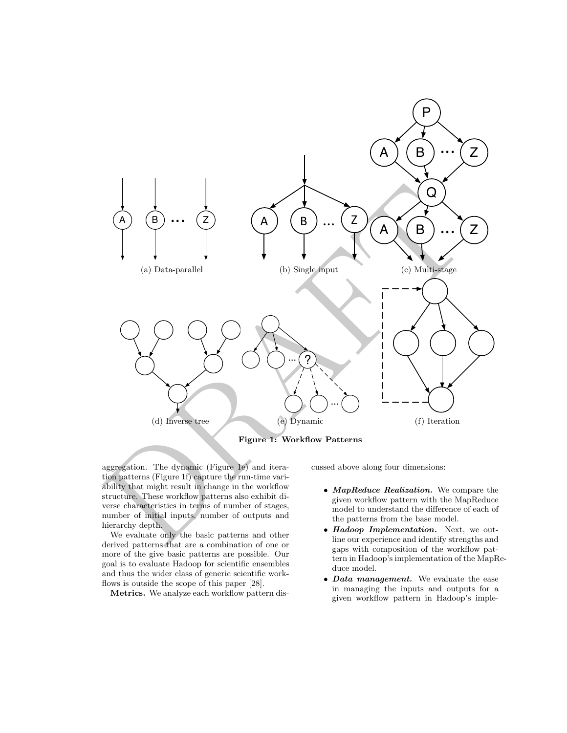

aggregation. The dynamic (Figure 1e) and iteration patterns (Figure 1f) capture the run-time variability that might result in change in the workflow structure. These workflow patterns also exhibit diverse characteristics in terms of number of stages, number of initial inputs, number of outputs and hierarchy depth.

We evaluate only the basic patterns and other derived patterns that are a combination of one or more of the give basic patterns are possible. Our goal is to evaluate Hadoop for scientific ensembles and thus the wider class of generic scientific workflows is outside the scope of this paper [28].

Metrics. We analyze each workflow pattern dis-

cussed above along four dimensions:

- MapReduce Realization. We compare the given workflow pattern with the MapReduce model to understand the difference of each of the patterns from the base model.
- Hadoop Implementation. Next, we outline our experience and identify strengths and gaps with composition of the workflow pattern in Hadoop's implementation of the MapReduce model.
- Data management. We evaluate the ease in managing the inputs and outputs for a given workflow pattern in Hadoop's imple-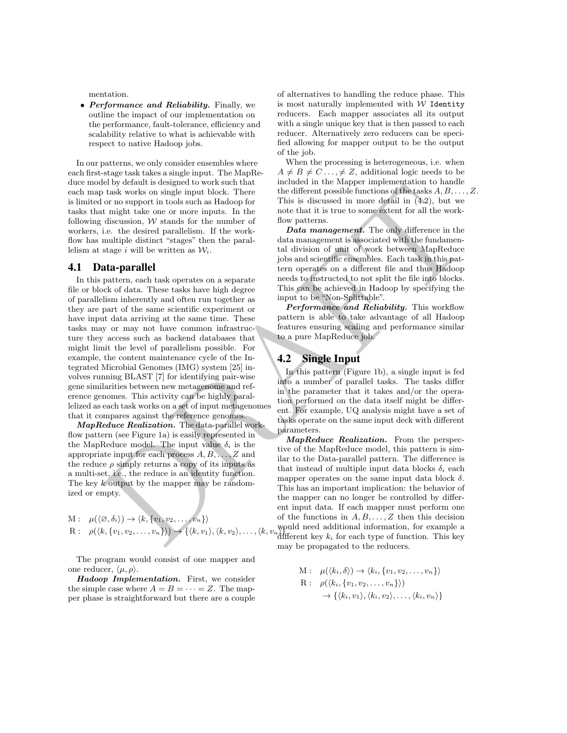mentation.

• Performance and Reliability. Finally, we outline the impact of our implementation on the performance, fault-tolerance, efficiency and scalability relative to what is achievable with respect to native Hadoop jobs.

In our patterns, we only consider ensembles where each first-stage task takes a single input. The MapReduce model by default is designed to work such that each map task works on single input block. There is limited or no support in tools such as Hadoop for tasks that might take one or more inputs. In the following discussion,  $W$  stands for the number of workers, i.e. the desired parallelism. If the workflow has multiple distinct "stages" then the parallelism at stage i will be written as  $\mathcal{W}_i$ .

#### 4.1 Data-parallel

to you can be something to the same that the same of particle in the same of the same of the same of the same of the same of the same of the same of the same of the same of the same of the same of the same of the same of In this pattern, each task operates on a separate file or block of data. These tasks have high degree of parallelism inherently and often run together as they are part of the same scientific experiment or have input data arriving at the same time. These tasks may or may not have common infrastructure they access such as backend databases that might limit the level of parallelism possible. For example, the content maintenance cycle of the Integrated Microbial Genomes (IMG) system [25] involves running BLAST [7] for identifying pair-wise gene similarities between new metagenome and reference genomes. This activity can be highly parallelized as each task works on a set of input metagenomes that it compares against the reference genomes.

MapReduce Realization. The data-parallel workflow pattern (see Figure 1a) is easily represented in the MapReduce model. The input value  $\delta_i$  is the appropriate input for each process  $A, B, \ldots, Z$  and the reduce  $\rho$  simply returns a copy of its inputs as a multi-set, i.e., the reduce is an identity function. The key  $k$  output by the mapper may be randomized or empty.

M: 
$$
\mu(\langle \emptyset, \delta_i \rangle) \to \langle k, \{v_1, v_2, \dots, v_n\} \rangle
$$
 of  
\nR:  $\rho(\langle k, \{v_1, v_2, \dots, v_n\} \rangle) \to \{\langle k, v_1 \rangle, \langle k, v_2 \rangle, \dots, \langle k, v_n \rangle \}$ 

The program would consist of one mapper and one reducer,  $\langle \mu, \rho \rangle$ .

Hadoop Implementation. First, we consider the simple case where  $A = B = \cdots = Z$ . The mapper phase is straightforward but there are a couple of alternatives to handling the reduce phase. This is most naturally implemented with  $W$  Identity reducers. Each mapper associates all its output with a single unique key that is then passed to each reducer. Alternatively zero reducers can be specified allowing for mapper output to be the output of the job.

When the processing is heterogeneous, i.e. when  $A \neq B \neq C \ldots \neq Z$ , additional logic needs to be included in the Mapper implementation to handle the different possible functions of the tasks  $A, B, \ldots, Z$ . This is discussed in more detail in (4.2), but we note that it is true to some extent for all the workflow patterns.

 $\vec{Data}$  management. The only difference in the data management is associated with the fundamental division of unit of work between MapReduce jobs and scientific ensembles. Each task in this pattern operates on a different file and thus Hadoop needs to instructed to not split the file into blocks. This can be achieved in Hadoop by specifying the input to be "Non-Splittable".

Performance and Reliability. This workflow pattern is able to take advantage of all Hadoop features ensuring scaling and performance similar to a pure MapReduce job.

# 4.2 Single Input

In this pattern (Figure 1b), a single input is fed into a number of parallel tasks. The tasks differ in the parameter that it takes and/or the operation performed on the data itself might be different. For example, UQ analysis might have a set of tasks operate on the same input deck with different parameters.

MapReduce Realization. From the perspective of the MapReduce model, this pattern is similar to the Data-parallel pattern. The difference is that instead of multiple input data blocks  $\delta_i$  each mapper operates on the same input data block  $\delta$ . This has an important implication: the behavior of the mapper can no longer be controlled by different input data. If each mapper must perform one of the functions in  $A, B, \ldots, Z$  then this decision would need additional information, for example a different key  $k_i$  for each type of function. This key may be propagated to the reducers.

M: 
$$
\mu(\langle k_i, \delta \rangle) \rightarrow \langle k_i, \{v_1, v_2, \dots, v_n\} \rangle
$$
  
\nR:  $\rho(\langle k_i, \{v_1, v_2, \dots, v_n\} \rangle)$   
\n $\rightarrow \{\langle k_i, v_1 \rangle, \langle k_i, v_2 \rangle, \dots, \langle k_i, v_n \rangle\}$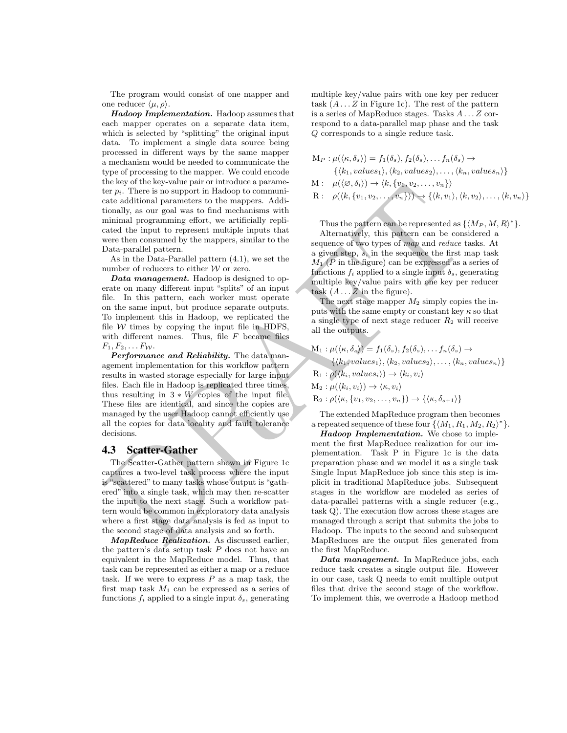The program would consist of one mapper and one reducer  $\langle \mu, \rho \rangle$ .

Hadoop Implementation. Hadoop assumes that each mapper operates on a separate data item, which is selected by "splitting" the original input data. To implement a single data source being processed in different ways by the same mapper a mechanism would be needed to communicate the type of processing to the mapper. We could encode the key of the key-value pair or introduce a parameter  $p_i$ . There is no support in Hadoop to communicate additional parameters to the mappers. Additionally, as our goal was to find mechanisms with minimal programming effort, we artificially replicated the input to represent multiple inputs that were then consumed by the mappers, similar to the Data-parallel pattern.

As in the Data-Parallel pattern (4.1), we set the number of reducers to either  $W$  or zero.

Data management. Hadoop is designed to operate on many different input "splits" of an input file. In this pattern, each worker must operate on the same input, but produce separate outputs. To implement this in Hadoop, we replicated the file  $W$  times by copying the input file in HDFS, with different names. Thus, file  $F$  became files  $F_1, F_2, \ldots F_{\mathcal{W}}$ .

Performance and Reliability. The data management implementation for this workflow pattern results in wasted storage especially for large input files. Each file in Hadoop is replicated three times, thus resulting in  $3 * W$  copies of the input file. These files are identical, and since the copies are managed by the user Hadoop cannot efficiently use all the copies for data locality and fault tolerance decisions.

#### 4.3 Scatter-Gather

The Scatter-Gather pattern shown in Figure 1c captures a two-level task process where the input is "scattered" to many tasks whose output is "gathered" into a single task, which may then re-scatter the input to the next stage. Such a workflow pattern would be common in exploratory data analysis where a first stage data analysis is fed as input to the second stage of data analysis and so forth.

MapReduce Realization. As discussed earlier, the pattern's data setup task  $P$  does not have an equivalent in the MapReduce model. Thus, that task can be represented as either a map or a reduce task. If we were to express  $P$  as a map task, the first map task  $M_1$  can be expressed as a series of functions  $f_i$  applied to a single input  $\delta_s$ , generating multiple key/value pairs with one key per reducer task  $(A \dots Z$  in Figure 1c). The rest of the pattern is a series of MapReduce stages. Tasks A . . . Z correspond to a data-parallel map phase and the task Q corresponds to a single reduce task.

$$
M_P: \mu(\langle \kappa, \delta_s \rangle) = f_1(\delta_s), f_2(\delta_s), \dots, f_n(\delta_s) \to
$$
  

$$
\{\langle k_1, values_1 \rangle, \langle k_2, values_2 \rangle, \dots, \langle k_n, values_n \rangle\}
$$
  

$$
M: \mu(\langle \emptyset, \delta_i \rangle) \to \langle k, \{v_1, v_2, \dots, v_n\} \rangle
$$
  

$$
R: \rho(\langle k, \{v_1, v_2, \dots, v_n\} \rangle) \to \{\langle k, v_1 \rangle, \langle k, v_2 \rangle, \dots, \langle k, v_n \rangle\}
$$

Thus the pattern can be represented as  $\{ \langle M_P, M, R \rangle^* \}.$ 

Alternatively, this pattern can be considered a sequence of two types of map and reduce tasks. At a given step, s, in the sequence the first map task  $M_1$  (P in the figure) can be expressed as a series of functions  $f_i$  applied to a single input  $\delta_s$ , generating multiple key/value pairs with one key per reducer task  $(A \dots Z$  in the figure).

The next stage mapper  $M_2$  simply copies the inputs with the same empty or constant key  $\kappa$  so that a single type of next stage reducer  $R_2$  will receive all the outputs.

$$
M_1: \mu(\langle \kappa, \delta_s \rangle) = f_1(\delta_s), f_2(\delta_s), \dots, f_n(\delta_s) \to
$$
  

$$
\{\langle k_1, values_1 \rangle, \langle k_2, values_2 \rangle, \dots, \langle k_n, values_n \rangle\}
$$
  

$$
R_1: \rho(\langle k_i, values_i \rangle) \to \langle k_i, v_i \rangle
$$
  

$$
M_2: \mu(\langle k_i, v_i \rangle) \to \langle \kappa, v_i \rangle
$$
  

$$
R_2: \rho(\langle \kappa, \{v_1, v_2, \dots, v_n\} \rangle) \to \{\langle \kappa, \delta_{s+1} \rangle\}
$$

The extended MapReduce program then becomes a repeated sequence of these four  $\{ \langle M_1, R_1, M_2, R_2 \rangle^* \}.$ 

Let us to provide the interest of the following of the  $R_1$ .  $p(\langle k, \alpha_1 \rangle, \neg k, \alpha_1 \rangle, \langle k, \alpha_2 \rangle, \dots, \langle k, \alpha_1 \rangle, \langle k, \alpha_2 \rangle, \dots, \langle k, \alpha_1 \rangle, \langle k, \alpha_2 \rangle, \dots, \langle k, \alpha_1 \rangle, \langle k, \alpha_2 \rangle, \dots, \langle k, \alpha_1 \rangle, \langle k, \alpha_2 \rangle, \dots, \langle k, \alpha_1 \rangle, \langle k, \alpha_2 \rangle$ Hadoop Implementation. We chose to implement the first MapReduce realization for our implementation. Task P in Figure 1c is the data preparation phase and we model it as a single task Single Input MapReduce job since this step is implicit in traditional MapReduce jobs. Subsequent stages in the workflow are modeled as series of data-parallel patterns with a single reducer (e.g., task Q). The execution flow across these stages are managed through a script that submits the jobs to Hadoop. The inputs to the second and subsequent MapReduces are the output files generated from the first MapReduce.

> Data management. In MapReduce jobs, each reduce task creates a single output file. However in our case, task Q needs to emit multiple output files that drive the second stage of the workflow. To implement this, we overrode a Hadoop method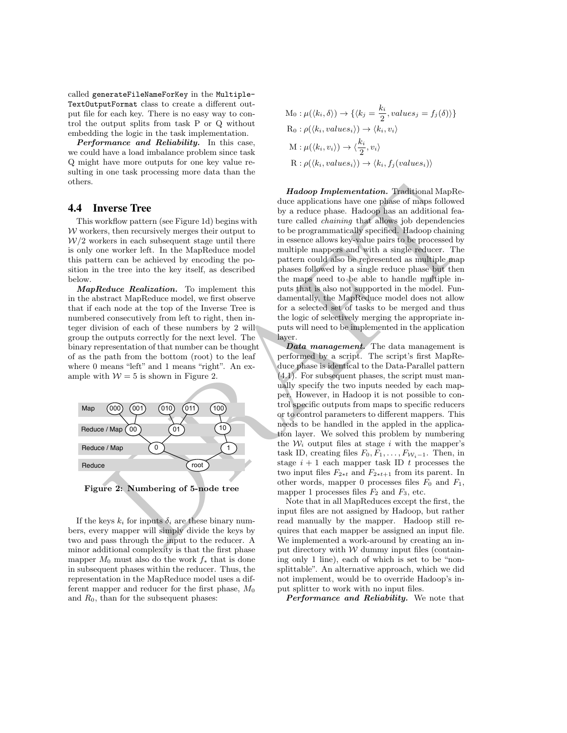called generateFileNameForKey in the Multiple-TextOutputFormat class to create a different output file for each key. There is no easy way to control the output splits from task P or Q without embedding the logic in the task implementation.

Performance and Reliability. In this case, we could have a load imbalance problem since task Q might have more outputs for one key value resulting in one task processing more data than the others.

#### 4.4 Inverse Tree

This workflow pattern (see Figure 1d) begins with  $W$  workers, then recursively merges their output to  $W/2$  workers in each subsequent stage until there is only one worker left. In the MapReduce model this pattern can be achieved by encoding the position in the tree into the key itself, as described below.

MapReduce Realization. To implement this in the abstract MapReduce model, we first observe that if each node at the top of the Inverse Tree is numbered consecutively from left to right, then integer division of each of these numbers by 2 will group the outputs correctly for the next level. The binary representation of that number can be thought of as the path from the bottom (root) to the leaf where 0 means "left" and 1 means "right". An example with  $W = 5$  is shown in Figure 2.



Figure 2: Numbering of 5-node tree

If the keys  $k_i$  for inputs  $\delta_i$  are these binary numbers, every mapper will simply divide the keys by two and pass through the input to the reducer. A minor additional complexity is that the first phase mapper  $M_0$  must also do the work  $f_*$  that is done in subsequent phases within the reducer. Thus, the representation in the MapReduce model uses a different mapper and reducer for the first phase,  $M_0$ and  $R_0$ , than for the subsequent phases:

$$
M_0: \mu(\langle k_i, \delta \rangle) \to \{ \langle k_j = \frac{k_i}{2}, values_j = f_j(\delta) \rangle \}
$$
  
\n
$$
R_0: \rho(\langle k_i, values_i \rangle) \to \langle k_i, v_i \rangle
$$
  
\n
$$
M: \mu(\langle k_i, v_i \rangle) \to \langle \frac{k_i}{2}, v_i \rangle
$$
  
\n
$$
R: \rho(\langle k_i, values_i \rangle) \to \langle k_i, f_j(values_i) \rangle
$$

Hadoop Implementation. Traditional MapReduce applications have one phase of maps followed by a reduce phase. Hadoop has an additional feature called chaining that allows job dependencies to be programmatically specified. Hadoop chaining in essence allows key-value pairs to be processed by multiple mappers and with a single reducer. The pattern could also be represented as multiple map phases followed by a single reduce phase but then the maps need to be able to handle multiple inputs that is also not supported in the model. Fundamentally, the MapReduce model does not allow for a selected set of tasks to be merged and thus the logic of selectively merging the appropriate inputs will need to be implemented in the application layer.

**Example in the complementation.** The<br>distant MapRe-distant MapRe-distant MapRe-distant MapRe-distant MapRe-distant MapPetins in the angle in<br>the spin star of the programmatically regulate and alternative consideration<br>fo Data management. The data management is performed by a script. The script's first MapReduce phase is identical to the Data-Parallel pattern (4.1). For subsequent phases, the script must manually specify the two inputs needed by each mapper. However, in Hadoop it is not possible to control specific outputs from maps to specific reducers or to control parameters to different mappers. This needs to be handled in the appled in the application layer. We solved this problem by numbering the  $W_i$  output files at stage i with the mapper's task ID, creating files  $F_0, F_1, \ldots, F_{W_i-1}$ . Then, in stage  $i + 1$  each mapper task ID t processes the two input files  $F_{2*t}$  and  $F_{2*t+1}$  from its parent. In other words, mapper 0 processes files  $F_0$  and  $F_1$ , mapper 1 processes files  $F_2$  and  $F_3$ , etc.

Note that in all MapReduces except the first, the input files are not assigned by Hadoop, but rather read manually by the mapper. Hadoop still requires that each mapper be assigned an input file. We implemented a work-around by creating an input directory with  $W$  dummy input files (containing only 1 line), each of which is set to be "nonsplittable". An alternative approach, which we did not implement, would be to override Hadoop's input splitter to work with no input files.

Performance and Reliability. We note that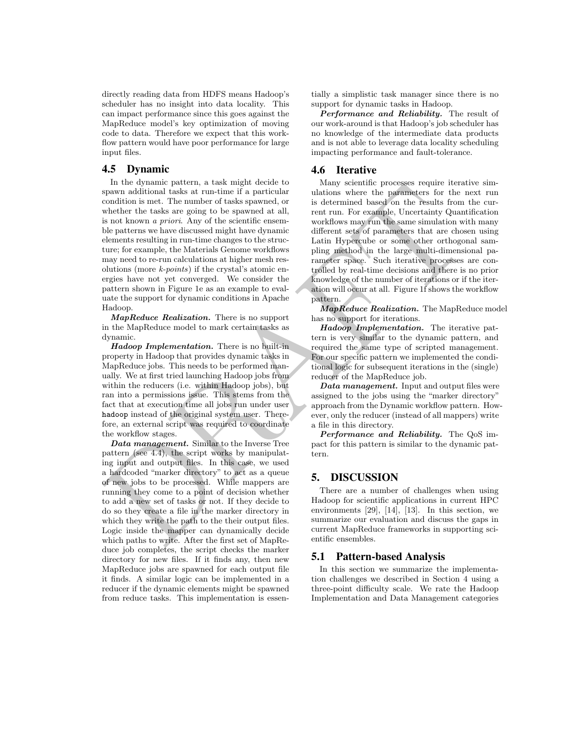directly reading data from HDFS means Hadoop's scheduler has no insight into data locality. This can impact performance since this goes against the MapReduce model's key optimization of moving code to data. Therefore we expect that this workflow pattern would have poor performance for large input files.

## 4.5 Dynamic

The three contains particular particular contains when the particular means and a mean and the contained particular based in the contained based in the contained based in the contained based in the contained based in the In the dynamic pattern, a task might decide to spawn additional tasks at run-time if a particular condition is met. The number of tasks spawned, or whether the tasks are going to be spawned at all, is not known a priori. Any of the scientific ensemble patterns we have discussed might have dynamic elements resulting in run-time changes to the structure; for example, the Materials Genome workflows may need to re-run calculations at higher mesh resolutions (more k-points) if the crystal's atomic energies have not yet converged. We consider the pattern shown in Figure 1e as an example to evaluate the support for dynamic conditions in Apache Hadoop.

MapReduce Realization. There is no support in the MapReduce model to mark certain tasks as dynamic.

Hadoop Implementation. There is no built-in property in Hadoop that provides dynamic tasks in MapReduce jobs. This needs to be performed manually. We at first tried launching Hadoop jobs from within the reducers (i.e. within Hadoop jobs), but ran into a permissions issue. This stems from the fact that at execution time all jobs run under user hadoop instead of the original system user. Therefore, an external script was required to coordinate the workflow stages.

Data management. Similar to the Inverse Tree pattern (see 4.4), the script works by manipulating input and output files. In this case, we used a hardcoded "marker directory" to act as a queue of new jobs to be processed. While mappers are running they come to a point of decision whether to add a new set of tasks or not. If they decide to do so they create a file in the marker directory in which they write the path to the their output files. Logic inside the mapper can dynamically decide which paths to write. After the first set of MapReduce job completes, the script checks the marker directory for new files. If it finds any, then new MapReduce jobs are spawned for each output file it finds. A similar logic can be implemented in a reducer if the dynamic elements might be spawned from reduce tasks. This implementation is essen-

tially a simplistic task manager since there is no support for dynamic tasks in Hadoop.

**Performance and Reliability.** The result of our work-around is that Hadoop's job scheduler has no knowledge of the intermediate data products and is not able to leverage data locality scheduling impacting performance and fault-tolerance.

#### 4.6 Iterative

Many scientific processes require iterative simulations where the parameters for the next run is determined based on the results from the current run. For example, Uncertainty Quantification workflows may run the same simulation with many different sets of parameters that are chosen using Latin Hypercube or some other orthogonal sampling method in the large multi-dimensional parameter space. Such iterative processes are controlled by real-time decisions and there is no prior knowledge of the number of iterations or if the iteration will occur at all. Figure 1f shows the workflow pattern.

MapReduce Realization. The MapReduce model has no support for iterations.

Hadoop Implementation. The iterative pattern is very similar to the dynamic pattern, and required the same type of scripted management. For our specific pattern we implemented the conditional logic for subsequent iterations in the (single) reducer of the MapReduce job.

Data management. Input and output files were assigned to the jobs using the "marker directory" approach from the Dynamic workflow pattern. However, only the reducer (instead of all mappers) write a file in this directory.

Performance and Reliability. The QoS impact for this pattern is similar to the dynamic pattern.

#### 5. DISCUSSION

There are a number of challenges when using Hadoop for scientific applications in current HPC environments [29], [14], [13]. In this section, we summarize our evaluation and discuss the gaps in current MapReduce frameworks in supporting scientific ensembles.

## 5.1 Pattern-based Analysis

In this section we summarize the implementation challenges we described in Section 4 using a three-point difficulty scale. We rate the Hadoop Implementation and Data Management categories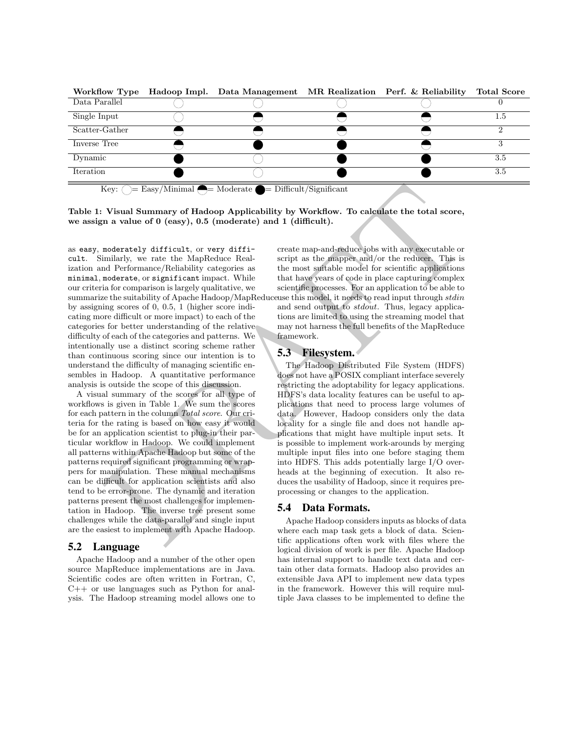

Table 1: Visual Summary of Hadoop Applicability by Workflow. To calculate the total score, we assign a value of 0 (easy), 0.5 (moderate) and 1 (difficult).

as easy, moderately difficult, or very difficult. Similarly, we rate the MapReduce Realization and Performance/Reliability categories as minimal, moderate, or significant impact. While our criteria for comparison is largely qualitative, we

by assigning scores of 0, 0.5, 1 (higher score indicating more difficult or more impact) to each of the categories for better understanding of the relative difficulty of each of the categories and patterns. We intentionally use a distinct scoring scheme rather than continuous scoring since our intention is to understand the difficulty of managing scientific ensembles in Hadoop. A quantitative performance analysis is outside the scope of this discussion.

A visual summary of the scores for all type of workflows is given in Table 1. We sum the scores for each pattern in the column Total score. Our criteria for the rating is based on how easy it would be for an application scientist to plug-in their particular workflow in Hadoop. We could implement all patterns within Apache Hadoop but some of the patterns required significant programming or wrappers for manipulation. These manual mechanisms can be difficult for application scientists and also tend to be error-prone. The dynamic and iteration patterns present the most challenges for implementation in Hadoop. The inverse tree present some challenges while the data-parallel and single input are the easiest to implement with Apache Hadoop.

#### 5.2 Language

Apache Hadoop and a number of the other open source MapReduce implementations are in Java. Scientific codes are often written in Fortran, C, C++ or use languages such as Python for analysis. The Hadoop streaming model allows one to

summarize the suitability of Apache Hadoop/MapReduceuse this model, it needs to read input through *stdin* create map-and-reduce jobs with any executable or script as the mapper and/or the reducer. This is the most suitable model for scientific applications that have years of code in place capturing complex scientific processes. For an application to be able to and send output to stdout. Thus, legacy applications are limited to using the streaming model that may not harness the full benefits of the MapReduce framework.

## 5.3 Filesystem.

Key:  $\bigcirc$  Energy/Minimal  $\bigcirc$  Moderate  $\bigcirc$  Difficult/Significant<br>Visual Summary of Hadoop Applicability by Workflow. To calculate the total score,<br>n a value of 0 (casy), 0.5 (moderate) and 1 (difficult).<br>The case and The Hadoop Distributed File System (HDFS) does not have a POSIX compliant interface severely restricting the adoptability for legacy applications. HDFS's data locality features can be useful to applications that need to process large volumes of data. However, Hadoop considers only the data locality for a single file and does not handle applications that might have multiple input sets. It is possible to implement work-arounds by merging multiple input files into one before staging them into HDFS. This adds potentially large I/O overheads at the beginning of execution. It also reduces the usability of Hadoop, since it requires preprocessing or changes to the application.

#### 5.4 Data Formats.

Apache Hadoop considers inputs as blocks of data where each map task gets a block of data. Scientific applications often work with files where the logical division of work is per file. Apache Hadoop has internal support to handle text data and certain other data formats. Hadoop also provides an extensible Java API to implement new data types in the framework. However this will require multiple Java classes to be implemented to define the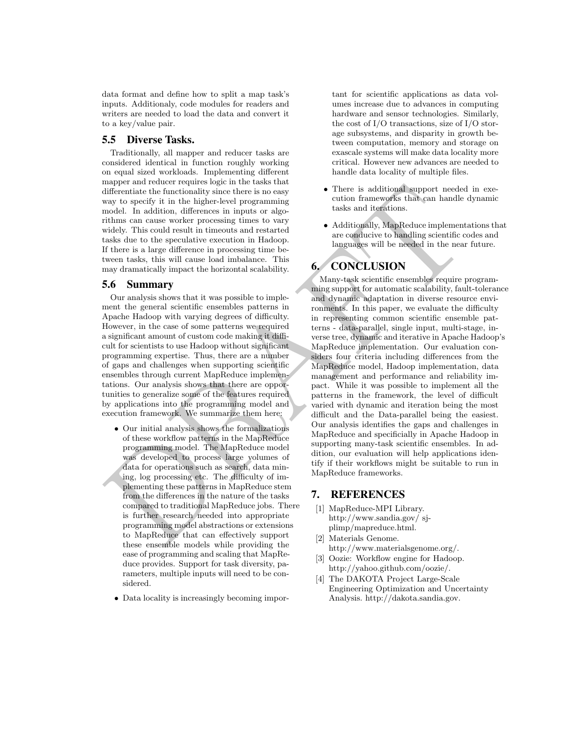data format and define how to split a map task's inputs. Additionaly, code modules for readers and writers are needed to load the data and convert it to a key/value pair.

## 5.5 Diverse Tasks.

Traditionally, all mapper and reducer tasks are considered identical in function roughly working on equal sized workloads. Implementing different mapper and reducer requires logic in the tasks that differentiate the functionality since there is no easy way to specify it in the higher-level programming model. In addition, differences in inputs or algorithms can cause worker processing times to vary widely. This could result in timeouts and restarted tasks due to the speculative execution in Hadoop. If there is a large difference in processing time between tasks, this will cause load imbalance. This may dramatically impact the horizontal scalability.

#### 5.6 Summary

Our analysis shows that it was possible to implement the general scientific ensembles patterns in Apache Hadoop with varying degrees of difficulty. However, in the case of some patterns we required a significant amount of custom code making it difficult for scientists to use Hadoop without significant programming expertise. Thus, there are a number of gaps and challenges when supporting scientific ensembles through current MapReduce implementations. Our analysis shows that there are opportunities to generalize some of the features required by applications into the programming model and execution framework. We summarize them here:

- Our initial analysis shows the formalizations of these workflow patterns in the MapReduce programming model. The MapReduce model was developed to process large volumes of data for operations such as search, data mining, log processing etc. The difficulty of implementing these patterns in MapReduce stem from the differences in the nature of the tasks compared to traditional MapReduce jobs. There is further research needed into appropriate programming model abstractions or extensions to MapReduce that can effectively support these ensemble models while providing the ease of programming and scaling that MapReduce provides. Support for task diversity, parameters, multiple inputs will need to be considered.
- Data locality is increasingly becoming impor-

tant for scientific applications as data volumes increase due to advances in computing hardware and sensor technologies. Similarly, the cost of I/O transactions, size of I/O storage subsystems, and disparity in growth between computation, memory and storage on exascale systems will make data locality more critical. However new advances are needed to handle data locality of multiple files.

- There is additional support needed in execution frameworks that can handle dynamic tasks and iterations.
- Additionally, MapReduce implementations that are conducive to handling scientific codes and languages will be needed in the near future.

# 6. CONCLUSION

DRAFT Many-task scientific ensembles require programming support for automatic scalability, fault-tolerance and dynamic adaptation in diverse resource environments. In this paper, we evaluate the difficulty in representing common scientific ensemble patterns - data-parallel, single input, multi-stage, inverse tree, dynamic and iterative in Apache Hadoop's MapReduce implementation. Our evaluation considers four criteria including differences from the MapReduce model, Hadoop implementation, data management and performance and reliability impact. While it was possible to implement all the patterns in the framework, the level of difficult varied with dynamic and iteration being the most difficult and the Data-parallel being the easiest. Our analysis identifies the gaps and challenges in MapReduce and specificially in Apache Hadoop in supporting many-task scientific ensembles. In addition, our evaluation will help applications identify if their workflows might be suitable to run in MapReduce frameworks.

## 7. REFERENCES

- [1] MapReduce-MPI Library. http://www.sandia.gov/ sjplimp/mapreduce.html.
- [2] Materials Genome.
- http://www.materialsgenome.org/. [3] Oozie: Workflow engine for Hadoop.
- http://yahoo.github.com/oozie/.
- [4] The DAKOTA Project Large-Scale Engineering Optimization and Uncertainty Analysis. http://dakota.sandia.gov.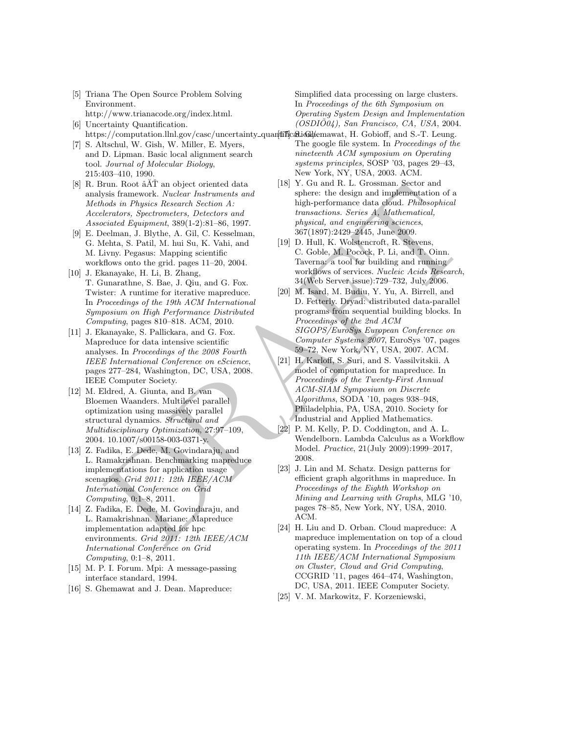- [5] Triana The Open Source Problem Solving Environment. http://www.trianacode.org/index.html.
- [6] Uncertainty Quantification.
- [7] S. Altschul, W. Gish, W. Miller, E. Myers, and D. Lipman. Basic local alignment search tool. Journal of Molecular Biology, 215:403–410, 1990.
- $[8]$  R. Brun. Root  $\tilde{A}$ <sup> $\tilde{T}$ </sup> an object oriented data analysis framework. Nuclear Instruments and Methods in Physics Research Section A: Accelerators, Spectrometers, Detectors and Associated Equipment, 389(1-2):81–86, 1997.
- [9] E. Deelman, J. Blythe, A. Gil, C. Kesselman, G. Mehta, S. Patil, M. hui Su, K. Vahi, and M. Livny. Pegasus: Mapping scientific workflows onto the grid. pages 11–20, 2004.
- [10] J. Ekanayake, H. Li, B. Zhang, T. Gunarathne, S. Bae, J. Qiu, and G. Fox. Twister: A runtime for iterative mapreduce. In Proceedings of the 19th ACM International Symposium on High Performance Distributed Computing, pages 810–818. ACM, 2010.
- [11] J. Ekanayake, S. Pallickara, and G. Fox. Mapreduce for data intensive scientific analyses. In Proceedings of the 2008 Fourth IEEE International Conference on eScience, pages 277–284, Washington, DC, USA, 2008. IEEE Computer Society.
- [12] M. Eldred, A. Giunta, and B. van Bloemen Waanders. Multilevel parallel optimization using massively parallel structural dynamics. Structural and Multidisciplinary Optimization, 27:97–109, 2004. 10.1007/s00158-003-0371-y.
- [13] Z. Fadika, E. Dede, M. Govindaraju, and L. Ramakrishnan. Benchmarking mapreduce implementations for application usage scenarios. Grid 2011: 12th IEEE/ACM International Conference on Grid Computing, 0:1–8, 2011.
- [14] Z. Fadika, E. Dede, M. Govindaraju, and L. Ramakrishnan. Mariane: Mapreduce implementation adapted for hpc environments. Grid 2011: 12th IEEE/ACM International Conference on Grid Computing, 0:1–8, 2011.
- [15] M. P. I. Forum. Mpi: A message-passing interface standard, 1994.
- [16] S. Ghemawat and J. Dean. Mapreduce:

Simplified data processing on large clusters. In Proceedings of the 6th Symposium on Operating System Design and Implementation  $(OSDI\ddot{O}4)$ , San Francisco, CA, USA, 2004.

- https://computation.llnl.gov/casc/uncertainty\_quantificationidemawat, H. Gobioff, and S.-T. Leung. The google file system. In Proceedings of the nineteenth ACM symposium on Operating systems principles, SOSP '03, pages 29–43, New York, NY, USA, 2003. ACM.
	- [18] Y. Gu and R. L. Grossman. Sector and sphere: the design and implementation of a high-performance data cloud. Philosophical transactions. Series A, Mathematical, physical, and engineering sciences, 367(1897):2429–2445, June 2009.
	- [19] D. Hull, K. Wolstencroft, R. Stevens, C. Goble, M. Pocock, P. Li, and T. Oinn. Taverna: a tool for building and running workflows of services. Nucleic Acids Research, 34(Web Server issue):729–732, July 2006.
	- run, Hoof a<br/>AT un object crimested data place to the data K. L. Greessian, Sector and the<br/>meters of the main of the crimester of the strength of the crimester of<br/>example, and the proposition of the strength of [20] M. Isard, M. Budiu, Y. Yu, A. Birrell, and D. Fetterly. Dryad: distributed data-parallel programs from sequential building blocks. In Proceedings of the 2nd ACM SIGOPS/EuroSys European Conference on Computer Systems 2007, EuroSys '07, pages 59–72, New York, NY, USA, 2007. ACM.
		- [21] H. Karloff, S. Suri, and S. Vassilvitskii. A model of computation for mapreduce. In Proceedings of the Twenty-First Annual ACM-SIAM Symposium on Discrete Algorithms, SODA '10, pages 938–948, Philadelphia, PA, USA, 2010. Society for Industrial and Applied Mathematics.
		- [22] P. M. Kelly, P. D. Coddington, and A. L. Wendelborn. Lambda Calculus as a Workflow Model. Practice, 21(July 2009):1999–2017, 2008.
		- [23] J. Lin and M. Schatz. Design patterns for efficient graph algorithms in mapreduce. In Proceedings of the Eighth Workshop on Mining and Learning with Graphs, MLG '10, pages 78–85, New York, NY, USA, 2010. ACM.
		- [24] H. Liu and D. Orban. Cloud mapreduce: A mapreduce implementation on top of a cloud operating system. In Proceedings of the 2011 11th IEEE/ACM International Symposium on Cluster, Cloud and Grid Computing, CCGRID '11, pages 464–474, Washington, DC, USA, 2011. IEEE Computer Society.
		- [25] V. M. Markowitz, F. Korzeniewski,